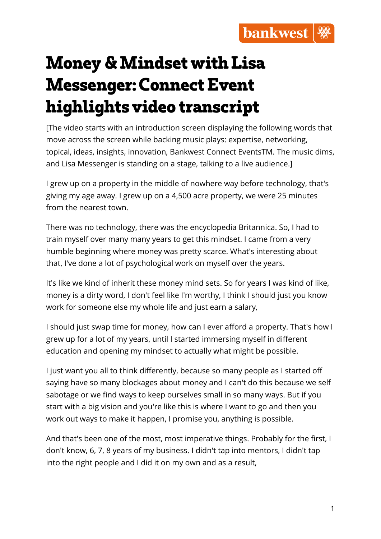## **Money & Mindset with Lisa Messenger: Connect Event highlights video transcript**

[The video starts with an introduction screen displaying the following words that move across the screen while backing music plays: expertise, networking, topical, ideas, insights, innovation, Bankwest Connect EventsTM. The music dims, and Lisa Messenger is standing on a stage, talking to a live audience.]

I grew up on a property in the middle of nowhere way before technology, that's giving my age away. I grew up on a 4,500 acre property, we were 25 minutes from the nearest town.

There was no technology, there was the encyclopedia Britannica. So, I had to train myself over many many years to get this mindset. I came from a very humble beginning where money was pretty scarce. What's interesting about that, I've done a lot of psychological work on myself over the years.

It's like we kind of inherit these money mind sets. So for years I was kind of like, money is a dirty word, I don't feel like I'm worthy, I think I should just you know work for someone else my whole life and just earn a salary,

I should just swap time for money, how can I ever afford a property. That's how I grew up for a lot of my years, until I started immersing myself in different education and opening my mindset to actually what might be possible.

I just want you all to think differently, because so many people as I started off saying have so many blockages about money and I can't do this because we self sabotage or we find ways to keep ourselves small in so many ways. But if you start with a big vision and you're like this is where I want to go and then you work out ways to make it happen, I promise you, anything is possible.

And that's been one of the most, most imperative things. Probably for the first, I don't know, 6, 7, 8 years of my business. I didn't tap into mentors, I didn't tap into the right people and I did it on my own and as a result,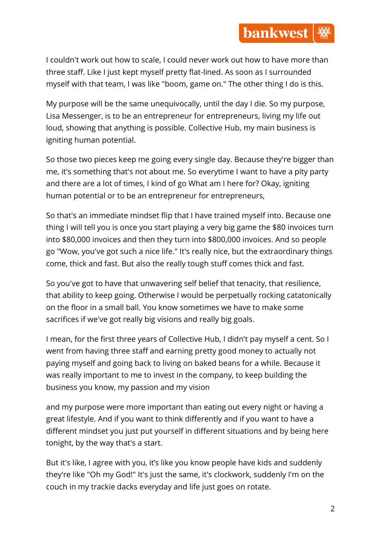I couldn't work out how to scale, I could never work out how to have more than three staff. Like I just kept myself pretty flat-lined. As soon as I surrounded myself with that team, I was like "boom, game on." The other thing I do is this.

My purpose will be the same unequivocally, until the day I die. So my purpose, Lisa Messenger, is to be an entrepreneur for entrepreneurs, living my life out loud, showing that anything is possible. Collective Hub, my main business is igniting human potential.

So those two pieces keep me going every single day. Because they're bigger than me, it's something that's not about me. So everytime I want to have a pity party and there are a lot of times, I kind of go What am I here for? Okay, igniting human potential or to be an entrepreneur for entrepreneurs,

So that's an immediate mindset flip that I have trained myself into. Because one thing I will tell you is once you start playing a very big game the \$80 invoices turn into \$80,000 invoices and then they turn into \$800,000 invoices. And so people go "Wow, you've got such a nice life." It's really nice, but the extraordinary things come, thick and fast. But also the really tough stuff comes thick and fast.

So you've got to have that unwavering self belief that tenacity, that resilience, that ability to keep going. Otherwise I would be perpetually rocking catatonically on the floor in a small ball. You know sometimes we have to make some sacrifices if we've got really big visions and really big goals.

I mean, for the first three years of Collective Hub, I didn't pay myself a cent. So I went from having three staff and earning pretty good money to actually not paying myself and going back to living on baked beans for a while. Because it was really important to me to invest in the company, to keep building the business you know, my passion and my vision

and my purpose were more important than eating out every night or having a great lifestyle. And if you want to think differently and if you want to have a different mindset you just put yourself in different situations and by being here tonight, by the way that's a start.

But it's like, I agree with you, it's like you know people have kids and suddenly they're like "Oh my God!" It's just the same, it's clockwork, suddenly I'm on the couch in my trackie dacks everyday and life just goes on rotate.